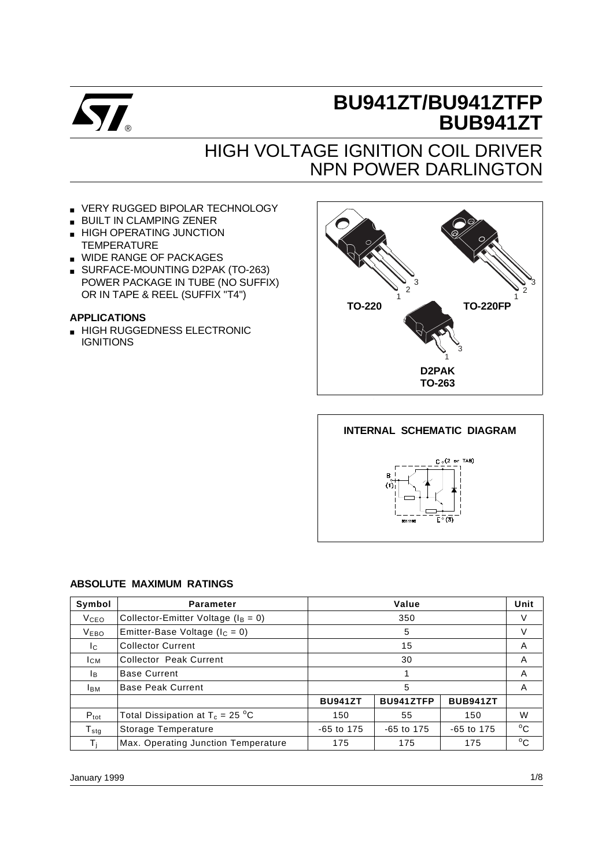

# **BU941ZT/BU941ZTFP BUB941ZT**

# HIGH VOLTAGE IGNITION COIL DRIVER NPN POWER DARLINGTON

- VERY RUGGED BIPOLAR TECHNOLOGY
- BUILT IN CLAMPING ZENER
- HIGH OPERATING JUNCTION **TEMPERATURE**
- WIDE RANGE OF PACKAGES
- SURFACE-MOUNTING D2PAK (TO-263) POWER PACKAGE IN TUBE (NO SUFFIX) OR IN TAPE & REEL (SUFFIX "T4")

#### **APPLICATIONS**

■ HIGH RUGGEDNESS ELECTRONIC **IGNITIONS** 





#### **ABSOLUTE MAXIMUM RATINGS**

| Symbol           | Value<br><b>Parameter</b>                 |                                                |            |  |              |  |
|------------------|-------------------------------------------|------------------------------------------------|------------|--|--------------|--|
| <b>V</b> ceo     | Collector-Emitter Voltage ( $I_B = 0$ )   |                                                | 350        |  |              |  |
| <b>VEBO</b>      | Emitter-Base Voltage ( $I_C = 0$ )        |                                                | 5          |  |              |  |
| Ic.              | <b>Collector Current</b>                  |                                                | A          |  |              |  |
| <b>ICM</b>       | Collector Peak Current                    |                                                | A          |  |              |  |
| Iв.              | <b>Base Current</b>                       |                                                | A          |  |              |  |
| <b>I</b> BM      | <b>Base Peak Current</b>                  |                                                | A          |  |              |  |
|                  |                                           | BU941ZTFP<br><b>BUB941ZT</b><br><b>BU941ZT</b> |            |  |              |  |
| $P_{\text{tot}}$ | Total Dissipation at $T_c = 25 \degree C$ | 150<br>55<br>150                               |            |  | W            |  |
| $T_{\rm stg}$    | Storage Temperature                       | $-65$ to 175<br>$-65$ to 175<br>-65 to 175     |            |  | $^{\circ}$ C |  |
| Τì               | Max. Operating Junction Temperature       | 175                                            | 175<br>175 |  |              |  |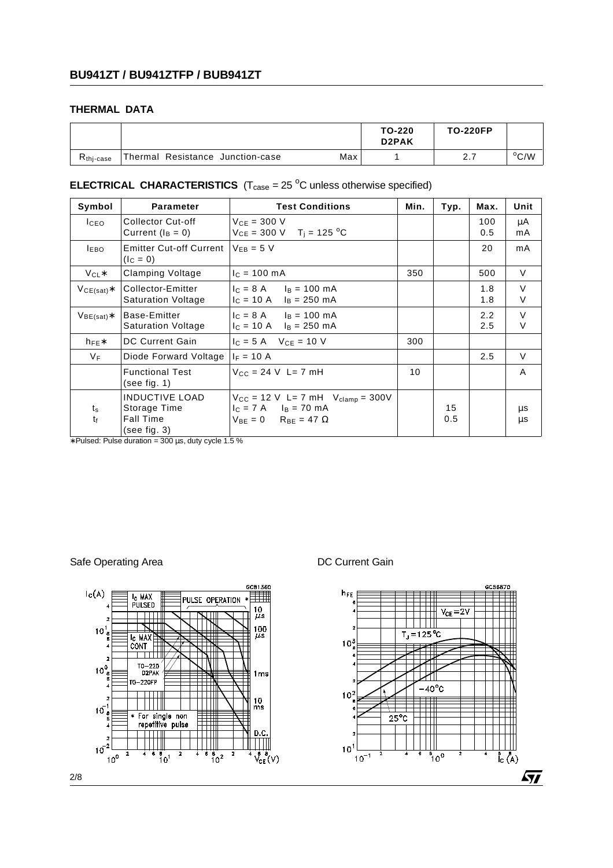#### **THERMAL DATA**

|                       |                                  |     | TO-220<br>D <sub>2</sub> PAK | <b>TO-220FP</b> |                |
|-----------------------|----------------------------------|-----|------------------------------|-----------------|----------------|
| R <sub>thi-case</sub> | Thermal Resistance Junction-case | Max |                              | ، ،             | $^{\circ}$ C/W |

### **ELECTRICAL CHARACTERISTICS**  $(T_{\text{case}} = 25 \text{ °C}$  unless otherwise specified)

| Symbol                 | <b>Parameter</b>                                                          | <b>Test Conditions</b>                                                                                                | Min. | Typ.      | Max.       | Unit             |
|------------------------|---------------------------------------------------------------------------|-----------------------------------------------------------------------------------------------------------------------|------|-----------|------------|------------------|
| I <sub>CEO</sub>       | Collector Cut-off<br>Current $(I_B = 0)$                                  | $V_{CF} = 300 V$<br>$V_{CE} = 300 \text{ V}$ T <sub>i</sub> = 125 <sup>o</sup> C                                      |      |           | 100<br>0.5 | μA<br>mA         |
| <b>LEBO</b>            | Emitter Cut-off Current $V_{FB} = 5 V$<br>$(I_C = 0)$                     |                                                                                                                       |      |           | 20         | mA               |
| $V_{CL}$ *             | Clamping Voltage                                                          | $IC = 100 mA$                                                                                                         | 350  |           | 500        | $\vee$           |
| $VCE(sat)$ *           | Collector-Emitter<br><b>Saturation Voltage</b>                            | $I_C = 8$ A $I_B = 100$ mA<br>$I_C = 10 A$<br>$I_B = 250$ mA                                                          |      |           | 1.8<br>1.8 | $\vee$<br>$\vee$ |
| $VBE(sat)*$            | Base-Emitter<br><b>Saturation Voltage</b>                                 | $I_c = 8$ A $I_B = 100$ mA<br>$I_C = 10 A$ $I_B = 250 mA$                                                             |      |           | 2.2<br>2.5 | $\vee$<br>V      |
| $h_{FE}$               | <b>DC Current Gain</b>                                                    | $I_C = 5 A$ $V_{CE} = 10 V$                                                                                           | 300  |           |            |                  |
| VF                     | Diode Forward Voltage                                                     | $I_F = 10 A$                                                                                                          |      |           | 2.5        | V                |
|                        | <b>Functional Test</b><br>(see fig. 1)                                    | $V_{CC} = 24 V L = 7 mH$                                                                                              | 10   |           |            | A                |
| $t_{\rm s}$<br>$t_{f}$ | <b>INDUCTIVE LOAD</b><br>Storage Time<br><b>Fall Time</b><br>(see fig. 3) | $V_{CC}$ = 12 V L= 7 mH $V_{clamp}$ = 300V<br>$I_C = 7$ A $I_B = 70$ mA<br>$V_{BE} = 0$ R <sub>BE</sub> = 47 $\Omega$ |      | 15<br>0.5 |            | μs<br>μs         |

∗ Pulsed: Pulse duration = 300 µs, duty cycle 1.5 %

Safe Operating Area **DC Current Gain** 

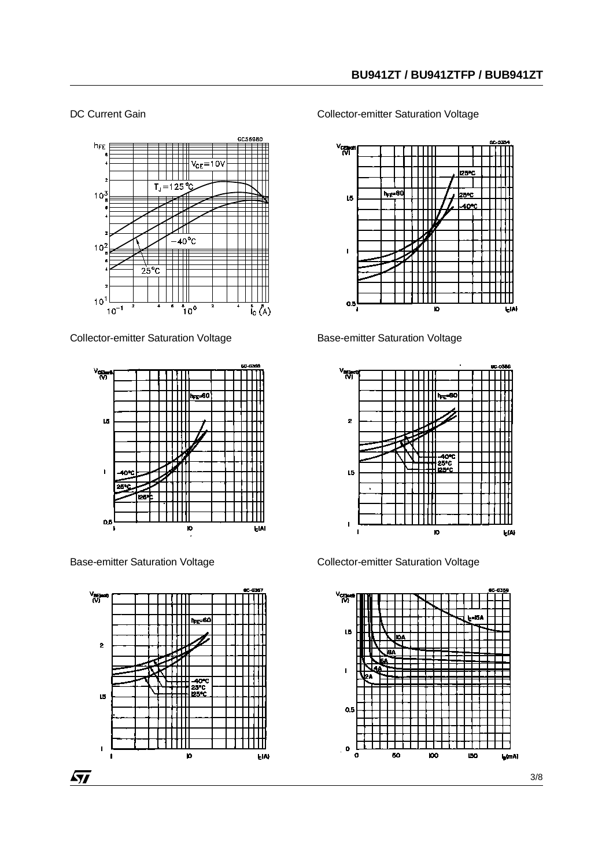#### DC Current Gain



Collector-emitter Saturation Voltage



Base-emitter Saturation Voltage



Collector-emitter Saturation Voltage



Base-emitter Saturation Voltage



Collector-emitter Saturation Voltage

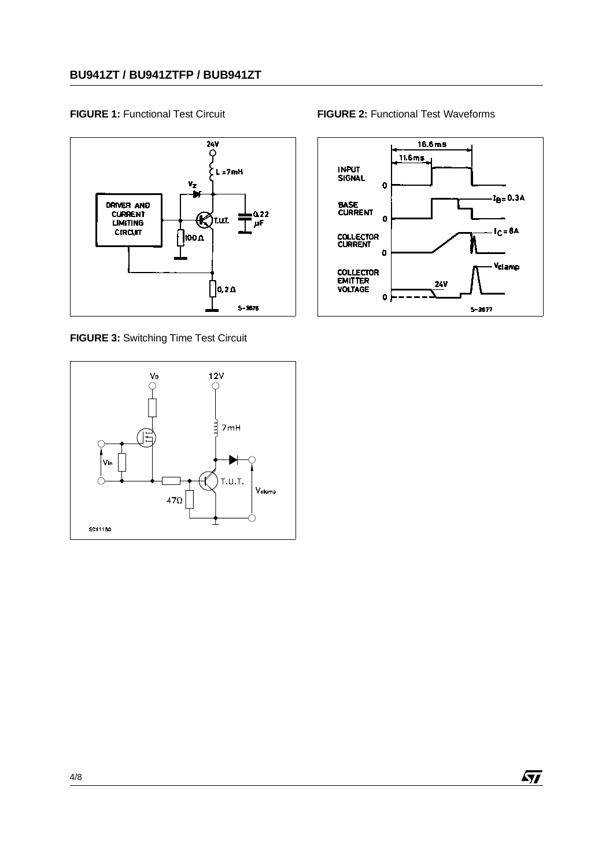

**FIGURE 3:** Switching Time Test Circuit



**FIGURE 1:** Functional Test Circuit **FIGURE 2:** Functional Test Waveforms



 $\sqrt{M}$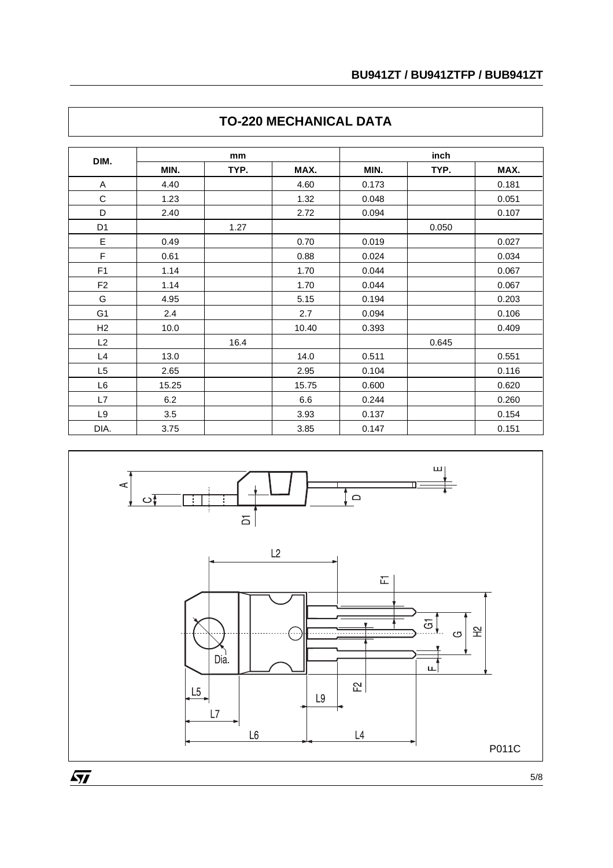| DIM.           | mm    |      |       | inch  |       |       |  |
|----------------|-------|------|-------|-------|-------|-------|--|
|                | MIN.  | TYP. | MAX.  | MIN.  | TYP.  | MAX.  |  |
| Α              | 4.40  |      | 4.60  | 0.173 |       | 0.181 |  |
| C              | 1.23  |      | 1.32  | 0.048 |       | 0.051 |  |
| D              | 2.40  |      | 2.72  | 0.094 |       | 0.107 |  |
| D <sub>1</sub> |       | 1.27 |       |       | 0.050 |       |  |
| E              | 0.49  |      | 0.70  | 0.019 |       | 0.027 |  |
| F              | 0.61  |      | 0.88  | 0.024 |       | 0.034 |  |
| F <sub>1</sub> | 1.14  |      | 1.70  | 0.044 |       | 0.067 |  |
| F <sub>2</sub> | 1.14  |      | 1.70  | 0.044 |       | 0.067 |  |
| G              | 4.95  |      | 5.15  | 0.194 |       | 0.203 |  |
| G <sub>1</sub> | 2.4   |      | 2.7   | 0.094 |       | 0.106 |  |
| H <sub>2</sub> | 10.0  |      | 10.40 | 0.393 |       | 0.409 |  |
| L2             |       | 16.4 |       |       | 0.645 |       |  |
| L4             | 13.0  |      | 14.0  | 0.511 |       | 0.551 |  |
| L <sub>5</sub> | 2.65  |      | 2.95  | 0.104 |       | 0.116 |  |
| L6             | 15.25 |      | 15.75 | 0.600 |       | 0.620 |  |
| L7             | 6.2   |      | 6.6   | 0.244 |       | 0.260 |  |
| L9             | 3.5   |      | 3.93  | 0.137 |       | 0.154 |  |
| DIA.           | 3.75  |      | 3.85  | 0.147 |       | 0.151 |  |

## **TO-220 MECHANICAL DATA**



5/8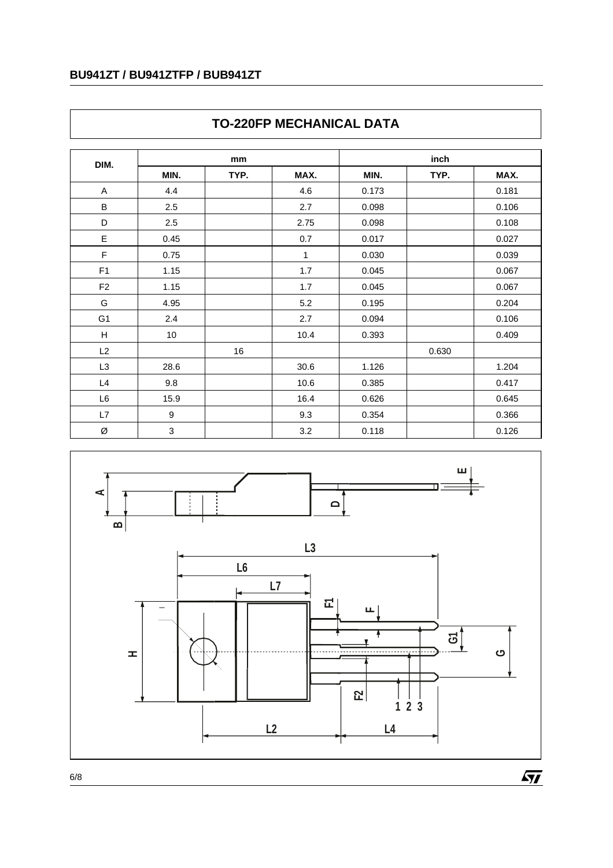### **BU941ZT / BU941ZTFP / BUB941ZT**

| DIM.           | mm   |      |      | inch  |       |       |  |
|----------------|------|------|------|-------|-------|-------|--|
|                | MIN. | TYP. | MAX. | MIN.  | TYP.  | MAX.  |  |
| A              | 4.4  |      | 4.6  | 0.173 |       | 0.181 |  |
| B              | 2.5  |      | 2.7  | 0.098 |       | 0.106 |  |
| D              | 2.5  |      | 2.75 | 0.098 |       | 0.108 |  |
| E              | 0.45 |      | 0.7  | 0.017 |       | 0.027 |  |
| $\mathsf{F}$   | 0.75 |      | 1    | 0.030 |       | 0.039 |  |
| F <sub>1</sub> | 1.15 |      | 1.7  | 0.045 |       | 0.067 |  |
| F <sub>2</sub> | 1.15 |      | 1.7  | 0.045 |       | 0.067 |  |
| G              | 4.95 |      | 5.2  | 0.195 |       | 0.204 |  |
| G <sub>1</sub> | 2.4  |      | 2.7  | 0.094 |       | 0.106 |  |
| H              | 10   |      | 10.4 | 0.393 |       | 0.409 |  |
| L2             |      | 16   |      |       | 0.630 |       |  |
| L3             | 28.6 |      | 30.6 | 1.126 |       | 1.204 |  |
| L4             | 9.8  |      | 10.6 | 0.385 |       | 0.417 |  |
| L6             | 15.9 |      | 16.4 | 0.626 |       | 0.645 |  |
| L7             | 9    |      | 9.3  | 0.354 |       | 0.366 |  |
| Ø              | 3    |      | 3.2  | 0.118 |       | 0.126 |  |

## **TO-220FP MECHANICAL DATA**



6/8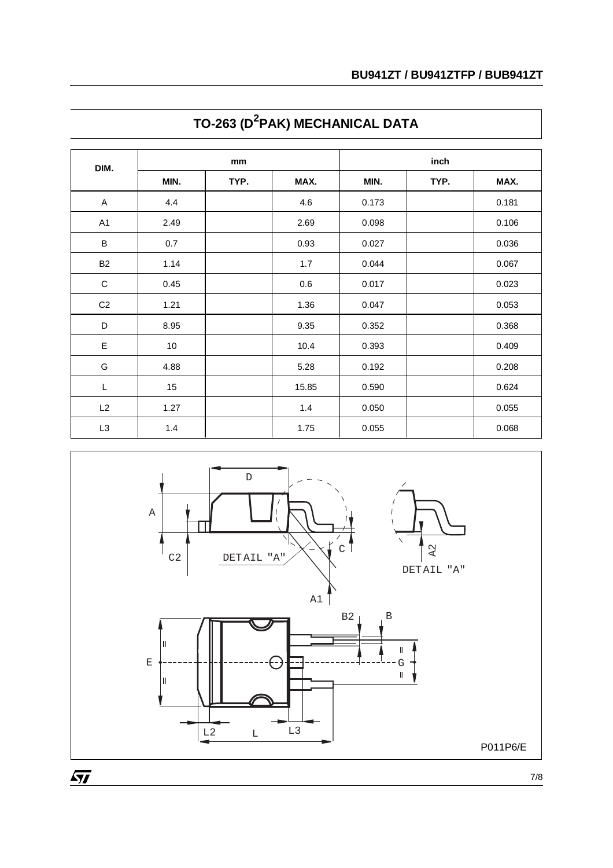| DIM.                      | mm   |      |       | inch  |      |       |  |
|---------------------------|------|------|-------|-------|------|-------|--|
|                           | MIN. | TYP. | MAX.  | MIN.  | TYP. | MAX.  |  |
| $\boldsymbol{\mathsf{A}}$ | 4.4  |      | 4.6   | 0.173 |      | 0.181 |  |
| A <sub>1</sub>            | 2.49 |      | 2.69  | 0.098 |      | 0.106 |  |
| $\sf B$                   | 0.7  |      | 0.93  | 0.027 |      | 0.036 |  |
| <b>B2</b>                 | 1.14 |      | 1.7   | 0.044 |      | 0.067 |  |
| $\mathbf C$               | 0.45 |      | 0.6   | 0.017 |      | 0.023 |  |
| C <sub>2</sub>            | 1.21 |      | 1.36  | 0.047 |      | 0.053 |  |
| D                         | 8.95 |      | 9.35  | 0.352 |      | 0.368 |  |
| E                         | 10   |      | 10.4  | 0.393 |      | 0.409 |  |
| G                         | 4.88 |      | 5.28  | 0.192 |      | 0.208 |  |
| L                         | 15   |      | 15.85 | 0.590 |      | 0.624 |  |
| L2                        | 1.27 |      | 1.4   | 0.050 |      | 0.055 |  |
| L3                        | 1.4  |      | 1.75  | 0.055 |      | 0.068 |  |

## **TO-263 (D<sup>2</sup> PAK) MECHANICAL DATA**



7/8